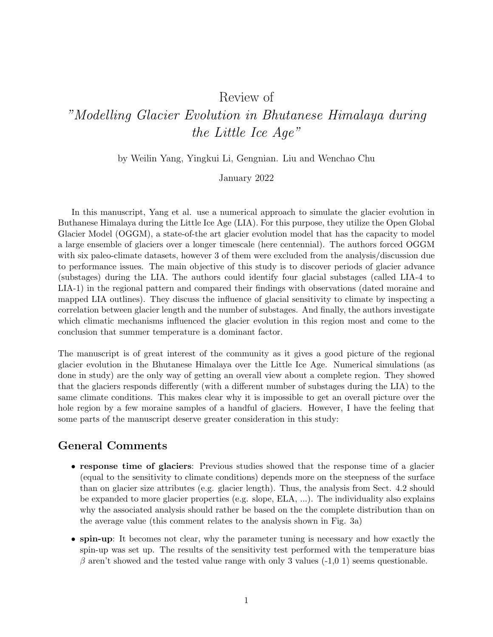# Review of

# "Modelling Glacier Evolution in Bhutanese Himalaya during the Little Ice Age"

by Weilin Yang, Yingkui Li, Gengnian. Liu and Wenchao Chu

#### January 2022

In this manuscript, Yang et al. use a numerical approach to simulate the glacier evolution in Buthanese Himalaya during the Little Ice Age (LIA). For this purpose, they utilize the Open Global Glacier Model (OGGM), a state-of-the art glacier evolution model that has the capacity to model a large ensemble of glaciers over a longer timescale (here centennial). The authors forced OGGM with six paleo-climate datasets, however 3 of them were excluded from the analysis/discussion due to performance issues. The main objective of this study is to discover periods of glacier advance (substages) during the LIA. The authors could identify four glacial substages (called LIA-4 to LIA-1) in the regional pattern and compared their findings with observations (dated moraine and mapped LIA outlines). They discuss the influence of glacial sensitivity to climate by inspecting a correlation between glacier length and the number of substages. And finally, the authors investigate which climatic mechanisms influenced the glacier evolution in this region most and come to the conclusion that summer temperature is a dominant factor.

The manuscript is of great interest of the community as it gives a good picture of the regional glacier evolution in the Bhutanese Himalaya over the Little Ice Age. Numerical simulations (as done in study) are the only way of getting an overall view about a complete region. They showed that the glaciers responds differently (with a different number of substages during the LIA) to the same climate conditions. This makes clear why it is impossible to get an overall picture over the hole region by a few moraine samples of a handful of glaciers. However, I have the feeling that some parts of the manuscript deserve greater consideration in this study:

# General Comments

- response time of glaciers: Previous studies showed that the response time of a glacier (equal to the sensitivity to climate conditions) depends more on the steepness of the surface than on glacier size attributes (e.g. glacier length). Thus, the analysis from Sect. 4.2 should be expanded to more glacier properties (e.g. slope, ELA, ...). The individuality also explains why the associated analysis should rather be based on the the complete distribution than on the average value (this comment relates to the analysis shown in Fig. 3a)
- spin-up: It becomes not clear, why the parameter tuning is necessary and how exactly the spin-up was set up. The results of the sensitivity test performed with the temperature bias  $\beta$  aren't showed and the tested value range with only 3 values (-1,0 1) seems questionable.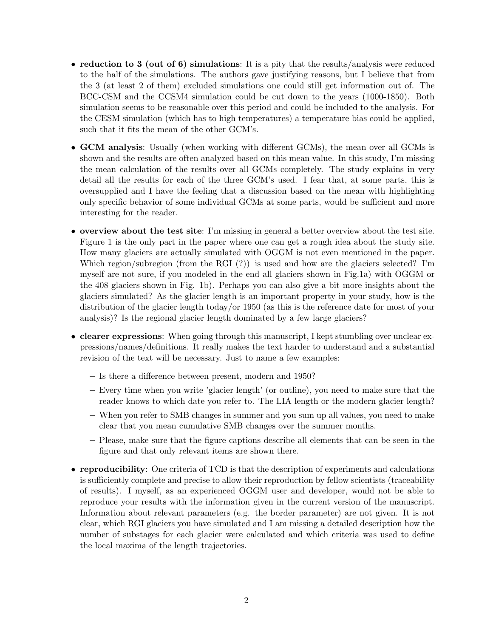- reduction to 3 (out of 6) simulations: It is a pity that the results/analysis were reduced to the half of the simulations. The authors gave justifying reasons, but I believe that from the 3 (at least 2 of them) excluded simulations one could still get information out of. The BCC-CSM and the CCSM4 simulation could be cut down to the years (1000-1850). Both simulation seems to be reasonable over this period and could be included to the analysis. For the CESM simulation (which has to high temperatures) a temperature bias could be applied, such that it fits the mean of the other GCM's.
- GCM analysis: Usually (when working with different GCMs), the mean over all GCMs is shown and the results are often analyzed based on this mean value. In this study, I'm missing the mean calculation of the results over all GCMs completely. The study explains in very detail all the results for each of the three GCM's used. I fear that, at some parts, this is oversupplied and I have the feeling that a discussion based on the mean with highlighting only specific behavior of some individual GCMs at some parts, would be sufficient and more interesting for the reader.
- overview about the test site: I'm missing in general a better overview about the test site. Figure 1 is the only part in the paper where one can get a rough idea about the study site. How many glaciers are actually simulated with OGGM is not even mentioned in the paper. Which region/subregion (from the RGI (?)) is used and how are the glaciers selected? I'm myself are not sure, if you modeled in the end all glaciers shown in Fig.1a) with OGGM or the 408 glaciers shown in Fig. 1b). Perhaps you can also give a bit more insights about the glaciers simulated? As the glacier length is an important property in your study, how is the distribution of the glacier length today/or 1950 (as this is the reference date for most of your analysis)? Is the regional glacier length dominated by a few large glaciers?
- clearer expressions: When going through this manuscript, I kept stumbling over unclear expressions/names/definitions. It really makes the text harder to understand and a substantial revision of the text will be necessary. Just to name a few examples:
	- Is there a difference between present, modern and 1950?
	- Every time when you write 'glacier length' (or outline), you need to make sure that the reader knows to which date you refer to. The LIA length or the modern glacier length?
	- When you refer to SMB changes in summer and you sum up all values, you need to make clear that you mean cumulative SMB changes over the summer months.
	- Please, make sure that the figure captions describe all elements that can be seen in the figure and that only relevant items are shown there.
- reproducibility: One criteria of TCD is that the description of experiments and calculations is sufficiently complete and precise to allow their reproduction by fellow scientists (traceability of results). I myself, as an experienced OGGM user and developer, would not be able to reproduce your results with the information given in the current version of the manuscript. Information about relevant parameters (e.g. the border parameter) are not given. It is not clear, which RGI glaciers you have simulated and I am missing a detailed description how the number of substages for each glacier were calculated and which criteria was used to define the local maxima of the length trajectories.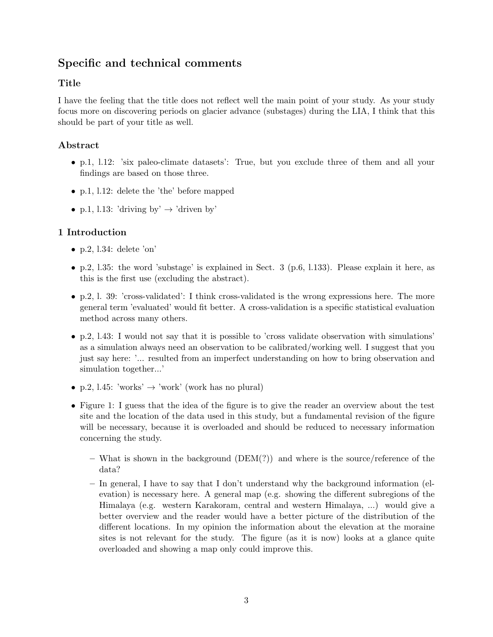# Specific and technical comments

# Title

I have the feeling that the title does not reflect well the main point of your study. As your study focus more on discovering periods on glacier advance (substages) during the LIA, I think that this should be part of your title as well.

# Abstract

- p.1, l.12: 'six paleo-climate datasets': True, but you exclude three of them and all your findings are based on those three.
- p.1, l.12: delete the 'the' before mapped
- p.1, l.13: 'driving by'  $\rightarrow$  'driven by'

## 1 Introduction

- $\bullet$  p.2, l.34: delete 'on'
- p.2, 1.35: the word 'substage' is explained in Sect. 3 (p.6, 1.133). Please explain it here, as this is the first use (excluding the abstract).
- p.2, l. 39: 'cross-validated': I think cross-validated is the wrong expressions here. The more general term 'evaluated' would fit better. A cross-validation is a specific statistical evaluation method across many others.
- p.2, l.43: I would not say that it is possible to 'cross validate observation with simulations' as a simulation always need an observation to be calibrated/working well. I suggest that you just say here: '... resulted from an imperfect understanding on how to bring observation and simulation together...'
- p.2, l.45: 'works'  $\rightarrow$  'work' (work has no plural)
- Figure 1: I guess that the idea of the figure is to give the reader an overview about the test site and the location of the data used in this study, but a fundamental revision of the figure will be necessary, because it is overloaded and should be reduced to necessary information concerning the study.
	- What is shown in the background  $(DEM(?)$  and where is the source/reference of the data?
	- In general, I have to say that I don't understand why the background information (elevation) is necessary here. A general map (e.g. showing the different subregions of the Himalaya (e.g. western Karakoram, central and western Himalaya, ...) would give a better overview and the reader would have a better picture of the distribution of the different locations. In my opinion the information about the elevation at the moraine sites is not relevant for the study. The figure (as it is now) looks at a glance quite overloaded and showing a map only could improve this.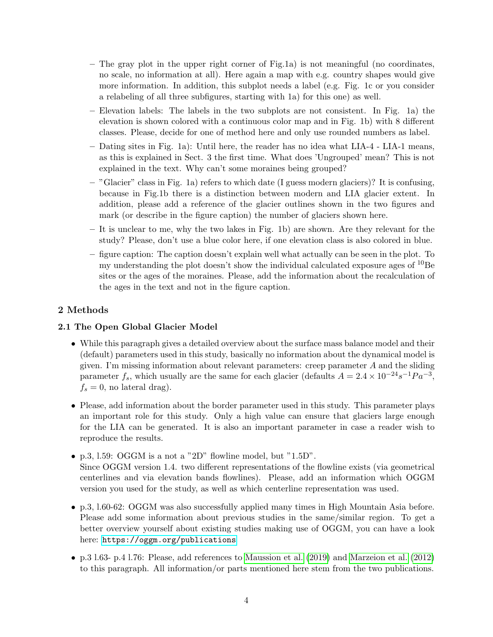- The gray plot in the upper right corner of Fig.1a) is not meaningful (no coordinates, no scale, no information at all). Here again a map with e.g. country shapes would give more information. In addition, this subplot needs a label (e.g. Fig. 1c or you consider a relabeling of all three subfigures, starting with 1a) for this one) as well.
- Elevation labels: The labels in the two subplots are not consistent. In Fig. 1a) the elevation is shown colored with a continuous color map and in Fig. 1b) with 8 different classes. Please, decide for one of method here and only use rounded numbers as label.
- Dating sites in Fig. 1a): Until here, the reader has no idea what LIA-4 LIA-1 means, as this is explained in Sect. 3 the first time. What does 'Ungrouped' mean? This is not explained in the text. Why can't some moraines being grouped?
- "Glacier" class in Fig. 1a) refers to which date (I guess modern glaciers)? It is confusing, because in Fig.1b there is a distinction between modern and LIA glacier extent. In addition, please add a reference of the glacier outlines shown in the two figures and mark (or describe in the figure caption) the number of glaciers shown here.
- It is unclear to me, why the two lakes in Fig. 1b) are shown. Are they relevant for the study? Please, don't use a blue color here, if one elevation class is also colored in blue.
- figure caption: The caption doesn't explain well what actually can be seen in the plot. To my understanding the plot doesn't show the individual calculated exposure ages of  $^{10}$ Be sites or the ages of the moraines. Please, add the information about the recalculation of the ages in the text and not in the figure caption.

## 2 Methods

## 2.1 The Open Global Glacier Model

- While this paragraph gives a detailed overview about the surface mass balance model and their (default) parameters used in this study, basically no information about the dynamical model is given. I'm missing information about relevant parameters: creep parameter  $A$  and the sliding parameter  $f_s$ , which usually are the same for each glacier (defaults  $A = 2.4 \times 10^{-24} s^{-1} Pa^{-3}$ ,  $f_s = 0$ , no lateral drag).
- Please, add information about the border parameter used in this study. This parameter plays an important role for this study. Only a high value can ensure that glaciers large enough for the LIA can be generated. It is also an important parameter in case a reader wish to reproduce the results.
- p.3, l.59: OGGM is a not a "2D" flowline model, but "1.5D". Since OGGM version 1.4. two different representations of the flowline exists (via geometrical centerlines and via elevation bands flowlines). Please, add an information which OGGM version you used for the study, as well as which centerline representation was used.
- p.3, l.60-62: OGGM was also successfully applied many times in High Mountain Asia before. Please add some information about previous studies in the same/similar region. To get a better overview yourself about existing studies making use of OGGM, you can have a look here: <https://oggm.org/publications>
- p.3 l.63- p.4 l.76: Please, add references to [Maussion et al.](#page-9-0) [\(2019\)](#page-9-0) and [Marzeion et al.](#page-9-1) [\(2012\)](#page-9-1) to this paragraph. All information/or parts mentioned here stem from the two publications.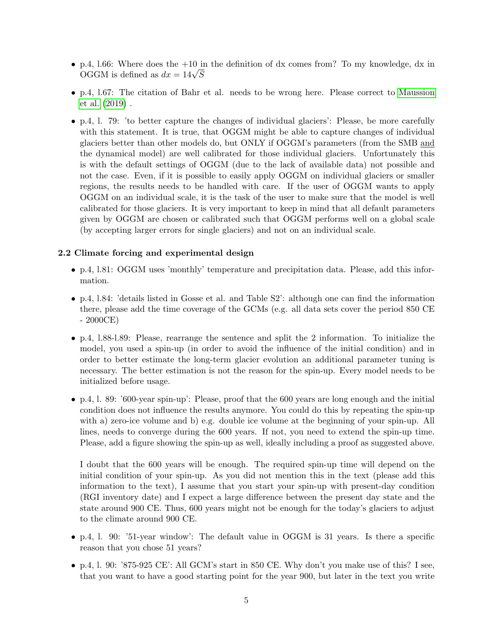- p.4, 1.66: Where does the  $+10$  in the definition of dx comes from? To my knowledge, dx in p.4, 1.00: where does the +10 in<br>OGGM is defined as  $dx = 14\sqrt{S}$
- p.4, l.67: The citation of Bahr et al. needs to be wrong here. Please correct to [Maussion](#page-9-0) [et al.](#page-9-0) [\(2019\)](#page-9-0) .
- p.4, l. 79: 'to better capture the changes of individual glaciers': Please, be more carefully with this statement. It is true, that OGGM might be able to capture changes of individual glaciers better than other models do, but ONLY if OGGM's parameters (from the SMB and the dynamical model) are well calibrated for those individual glaciers. Unfortunately this is with the default settings of OGGM (due to the lack of available data) not possible and not the case. Even, if it is possible to easily apply OGGM on individual glaciers or smaller regions, the results needs to be handled with care. If the user of OGGM wants to apply OGGM on an individual scale, it is the task of the user to make sure that the model is well calibrated for those glaciers. It is very important to keep in mind that all default parameters given by OGGM are chosen or calibrated such that OGGM performs well on a global scale (by accepting larger errors for single glaciers) and not on an individual scale.

#### 2.2 Climate forcing and experimental design

- p.4, l.81: OGGM uses 'monthly' temperature and precipitation data. Please, add this information.
- p.4, l.84: 'details listed in Gosse et al. and Table S2': although one can find the information there, please add the time coverage of the GCMs (e.g. all data sets cover the period 850 CE - 2000CE)
- p.4, l.88-l.89: Please, rearrange the sentence and split the 2 information. To initialize the model, you used a spin-up (in order to avoid the influence of the initial condition) and in order to better estimate the long-term glacier evolution an additional parameter tuning is necessary. The better estimation is not the reason for the spin-up. Every model needs to be initialized before usage.
- p.4, l. 89: '600-year spin-up': Please, proof that the 600 years are long enough and the initial condition does not influence the results anymore. You could do this by repeating the spin-up with a) zero-ice volume and b) e.g. double ice volume at the beginning of your spin-up. All lines, needs to converge during the 600 years. If not, you need to extend the spin-up time. Please, add a figure showing the spin-up as well, ideally including a proof as suggested above.

I doubt that the 600 years will be enough. The required spin-up time will depend on the initial condition of your spin-up. As you did not mention this in the text (please add this information to the text), I assume that you start your spin-up with present-day condition (RGI inventory date) and I expect a large difference between the present day state and the state around 900 CE. Thus, 600 years might not be enough for the today's glaciers to adjust to the climate around 900 CE.

- p.4, l. 90: '51-year window': The default value in OGGM is 31 years. Is there a specific reason that you chose 51 years?
- p.4, l. 90: '875-925 CE': All GCM's start in 850 CE. Why don't you make use of this? I see, that you want to have a good starting point for the year 900, but later in the text you write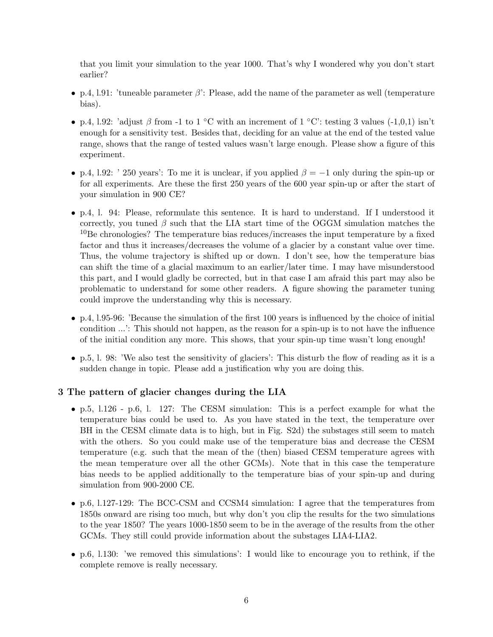that you limit your simulation to the year 1000. That's why I wondered why you don't start earlier?

- p.4, 1.91: 'tuneable parameter  $\beta$ ': Please, add the name of the parameter as well (temperature bias).
- p.4, l.92: 'adjust β from -1 to 1 °C with an increment of 1 °C': testing 3 values (-1,0,1) isn't enough for a sensitivity test. Besides that, deciding for an value at the end of the tested value range, shows that the range of tested values wasn't large enough. Please show a figure of this experiment.
- p.4, l.92: ' 250 years': To me it is unclear, if you applied  $\beta = -1$  only during the spin-up or for all experiments. Are these the first 250 years of the 600 year spin-up or after the start of your simulation in 900 CE?
- p.4, l. 94: Please, reformulate this sentence. It is hard to understand. If I understood it correctly, you tuned  $\beta$  such that the LIA start time of the OGGM simulation matches the <sup>10</sup>Be chronologies? The temperature bias reduces/increases the input temperature by a fixed factor and thus it increases/decreases the volume of a glacier by a constant value over time. Thus, the volume trajectory is shifted up or down. I don't see, how the temperature bias can shift the time of a glacial maximum to an earlier/later time. I may have misunderstood this part, and I would gladly be corrected, but in that case I am afraid this part may also be problematic to understand for some other readers. A figure showing the parameter tuning could improve the understanding why this is necessary.
- p.4, l.95-96: 'Because the simulation of the first 100 years is influenced by the choice of initial condition ...': This should not happen, as the reason for a spin-up is to not have the influence of the initial condition any more. This shows, that your spin-up time wasn't long enough!
- p.5, l. 98: 'We also test the sensitivity of glaciers': This disturb the flow of reading as it is a sudden change in topic. Please add a justification why you are doing this.

#### 3 The pattern of glacier changes during the LIA

- p.5, l.126 p.6, l. 127: The CESM simulation: This is a perfect example for what the temperature bias could be used to. As you have stated in the text, the temperature over BH in the CESM climate data is to high, but in Fig. S2d) the substages still seem to match with the others. So you could make use of the temperature bias and decrease the CESM temperature (e.g. such that the mean of the (then) biased CESM temperature agrees with the mean temperature over all the other GCMs). Note that in this case the temperature bias needs to be applied additionally to the temperature bias of your spin-up and during simulation from 900-2000 CE.
- p.6, l.127-129: The BCC-CSM and CCSM4 simulation: I agree that the temperatures from 1850s onward are rising too much, but why don't you clip the results for the two simulations to the year 1850? The years 1000-1850 seem to be in the average of the results from the other GCMs. They still could provide information about the substages LIA4-LIA2.
- p.6, l.130: 'we removed this simulations': I would like to encourage you to rethink, if the complete remove is really necessary.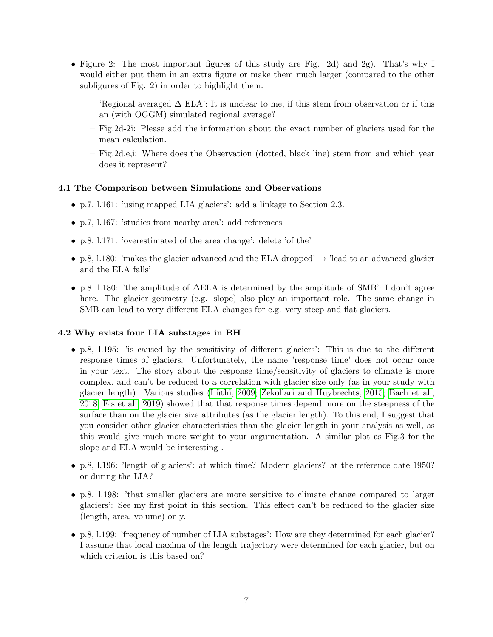- Figure 2: The most important figures of this study are Fig. 2d) and 2g). That's why I would either put them in an extra figure or make them much larger (compared to the other subfigures of Fig. 2) in order to highlight them.
	- 'Regional averaged ∆ ELA': It is unclear to me, if this stem from observation or if this an (with OGGM) simulated regional average?
	- Fig.2d-2i: Please add the information about the exact number of glaciers used for the mean calculation.
	- Fig.2d,e,i: Where does the Observation (dotted, black line) stem from and which year does it represent?

#### 4.1 The Comparison between Simulations and Observations

- p.7, l.161: 'using mapped LIA glaciers': add a linkage to Section 2.3.
- p.7, l.167: 'studies from nearby area': add references
- p.8, l.171: 'overestimated of the area change': delete 'of the'
- p.8, 1.180: 'makes the glacier advanced and the ELA dropped'  $\rightarrow$  'lead to an advanced glacier and the ELA falls'
- p.8, l.180: 'the amplitude of ∆ELA is determined by the amplitude of SMB': I don't agree here. The glacier geometry (e.g. slope) also play an important role. The same change in SMB can lead to very different ELA changes for e.g. very steep and flat glaciers.

#### 4.2 Why exists four LIA substages in BH

- p.8, l.195: 'is caused by the sensitivity of different glaciers': This is due to the different response times of glaciers. Unfortunately, the name 'response time' does not occur once in your text. The story about the response time/sensitivity of glaciers to climate is more complex, and can't be reduced to a correlation with glacier size only (as in your study with glacier length). Various studies (Lüthi, 2009; [Zekollari and Huybrechts, 2015;](#page-9-3) [Bach et al.,](#page-9-4) [2018;](#page-9-4) [Eis et al., 2019\)](#page-9-5) showed that that response times depend more on the steepness of the surface than on the glacier size attributes (as the glacier length). To this end, I suggest that you consider other glacier characteristics than the glacier length in your analysis as well, as this would give much more weight to your argumentation. A similar plot as Fig.3 for the slope and ELA would be interesting .
- p.8, l.196: 'length of glaciers': at which time? Modern glaciers? at the reference date 1950? or during the LIA?
- p.8, l.198: 'that smaller glaciers are more sensitive to climate change compared to larger glaciers': See my first point in this section. This effect can't be reduced to the glacier size (length, area, volume) only.
- p.8, l.199: 'frequency of number of LIA substages': How are they determined for each glacier? I assume that local maxima of the length trajectory were determined for each glacier, but on which criterion is this based on?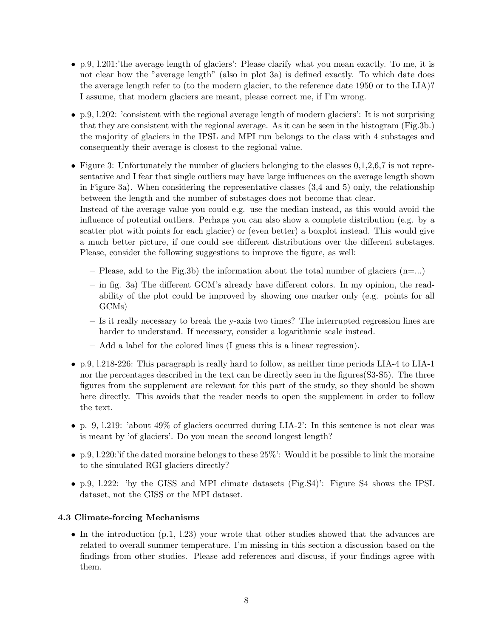- p.9, l.201:'the average length of glaciers': Please clarify what you mean exactly. To me, it is not clear how the "average length" (also in plot 3a) is defined exactly. To which date does the average length refer to (to the modern glacier, to the reference date 1950 or to the LIA)? I assume, that modern glaciers are meant, please correct me, if I'm wrong.
- p.9, l.202: 'consistent with the regional average length of modern glaciers': It is not surprising that they are consistent with the regional average. As it can be seen in the histogram (Fig.3b.) the majority of glaciers in the IPSL and MPI run belongs to the class with 4 substages and consequently their average is closest to the regional value.
- Figure 3: Unfortunately the number of glaciers belonging to the classes  $0,1,2,6,7$  is not representative and I fear that single outliers may have large influences on the average length shown in Figure 3a). When considering the representative classes (3,4 and 5) only, the relationship between the length and the number of substages does not become that clear. Instead of the average value you could e.g. use the median instead, as this would avoid the influence of potential outliers. Perhaps you can also show a complete distribution (e.g. by a scatter plot with points for each glacier) or (even better) a boxplot instead. This would give a much better picture, if one could see different distributions over the different substages. Please, consider the following suggestions to improve the figure, as well:
	- Please, add to the Fig.3b) the information about the total number of glaciers  $(n=\dots)$
	- in fig. 3a) The different GCM's already have different colors. In my opinion, the readability of the plot could be improved by showing one marker only (e.g. points for all GCMs)
	- Is it really necessary to break the y-axis two times? The interrupted regression lines are harder to understand. If necessary, consider a logarithmic scale instead.
	- Add a label for the colored lines (I guess this is a linear regression).
- p.9, l.218-226: This paragraph is really hard to follow, as neither time periods LIA-4 to LIA-1 nor the percentages described in the text can be directly seen in the figures(S3-S5). The three figures from the supplement are relevant for this part of the study, so they should be shown here directly. This avoids that the reader needs to open the supplement in order to follow the text.
- p. 9, l.219: 'about 49% of glaciers occurred during LIA-2': In this sentence is not clear was is meant by 'of glaciers'. Do you mean the second longest length?
- p.9, 1.220:'if the dated moraine belongs to these  $25\%$ ': Would it be possible to link the moraine to the simulated RGI glaciers directly?
- p.9, l.222: 'by the GISS and MPI climate datasets (Fig.S4)': Figure S4 shows the IPSL dataset, not the GISS or the MPI dataset.

#### 4.3 Climate-forcing Mechanisms

• In the introduction  $(p.1, 1.23)$  your wrote that other studies showed that the advances are related to overall summer temperature. I'm missing in this section a discussion based on the findings from other studies. Please add references and discuss, if your findings agree with them.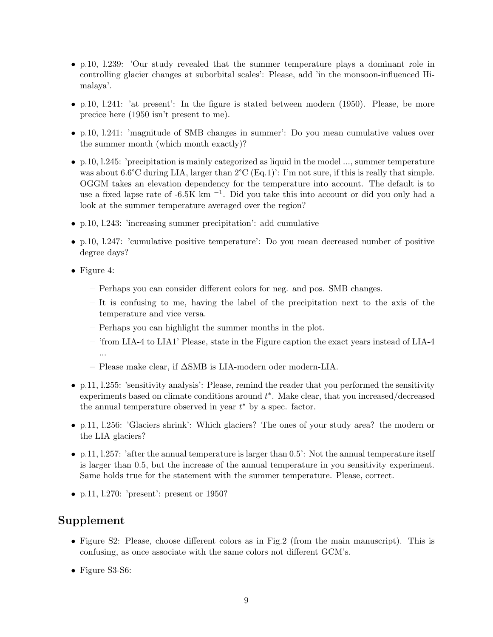- p.10, l.239: 'Our study revealed that the summer temperature plays a dominant role in controlling glacier changes at suborbital scales': Please, add 'in the monsoon-influenced Himalaya'.
- p.10, l.241: 'at present': In the figure is stated between modern (1950). Please, be more precice here (1950 isn't present to me).
- p.10, l.241: 'magnitude of SMB changes in summer': Do you mean cumulative values over the summer month (which month exactly)?
- p.10, l.245: 'precipitation is mainly categorized as liquid in the model ..., summer temperature was about  $6.6^{\circ}\text{C}$  during LIA, larger than  $2^{\circ}\text{C}$  (Eq.1)': I'm not sure, if this is really that simple. OGGM takes an elevation dependency for the temperature into account. The default is to use a fixed lapse rate of -6.5K km<sup>-1</sup>. Did you take this into account or did you only had a look at the summer temperature averaged over the region?
- p.10, l.243: 'increasing summer precipitation': add cumulative
- p.10, l.247: 'cumulative positive temperature': Do you mean decreased number of positive degree days?
- Figure 4:
	- Perhaps you can consider different colors for neg. and pos. SMB changes.
	- It is confusing to me, having the label of the precipitation next to the axis of the temperature and vice versa.
	- Perhaps you can highlight the summer months in the plot.
	- 'from LIA-4 to LIA1' Please, state in the Figure caption the exact years instead of LIA-4 ...
	- Please make clear, if ∆SMB is LIA-modern oder modern-LIA.
- p.11, l.255: 'sensitivity analysis': Please, remind the reader that you performed the sensitivity experiments based on climate conditions around  $t^*$ . Make clear, that you increased/decreased the annual temperature observed in year  $t^*$  by a spec. factor.
- p.11, l.256: 'Glaciers shrink': Which glaciers? The ones of your study area? the modern or the LIA glaciers?
- p.11, 1.257: 'after the annual temperature is larger than  $0.5$ ': Not the annual temperature itself is larger than 0.5, but the increase of the annual temperature in you sensitivity experiment. Same holds true for the statement with the summer temperature. Please, correct.
- p.11, 1.270: 'present': present or 1950?

# Supplement

- Figure S2: Please, choose different colors as in Fig.2 (from the main manuscript). This is confusing, as once associate with the same colors not different GCM's.
- Figure S3-S6: